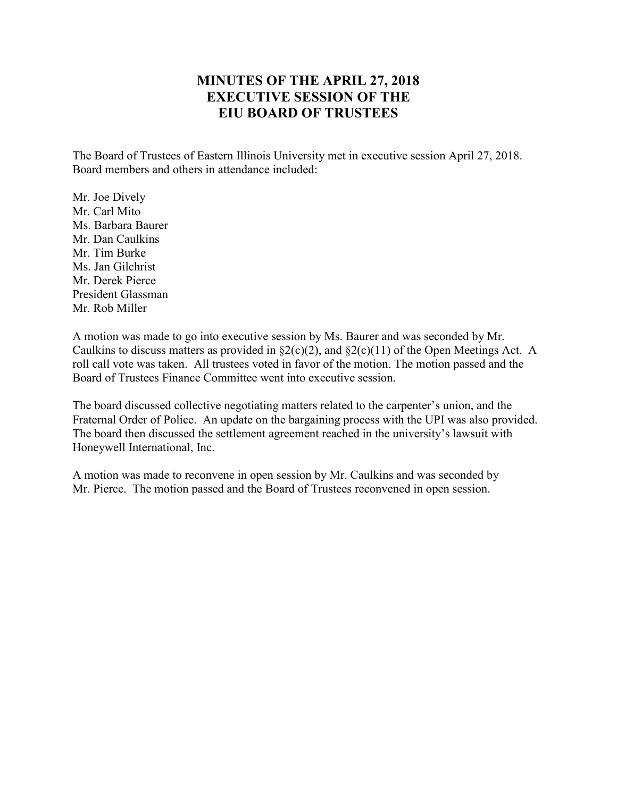## **MINUTES OF THE APRIL 27, 2018 EXECUTIVE SESSION OF THE EIU BOARD OF TRUSTEES**

The Board of Trustees of Eastern Illinois University met in executive session April 27, 2018. Board members and others in attendance included:

Mr. Joe Dively Mr. Carl Mito Ms. Barbara Baurer Mr. Dan Caulkins Mr. Tim Burke Ms. Jan Gilchrist Mr. Derek Pierce President Glassman Mr. Rob Miller

A motion was made to go into executive session by Ms. Baurer and was seconded by Mr. Caulkins to discuss matters as provided in  $\S2(c)(2)$ , and  $\S2(c)(11)$  of the Open Meetings Act. A roll call vote was taken. All trustees voted in favor of the motion. The motion passed and the Board of Trustees Finance Committee went into executive session.

The board discussed collective negotiating matters related to the carpenter's union, and the Fraternal Order of Police. An update on the bargaining process with the UPI was also provided. The board then discussed the settlement agreement reached in the university's lawsuit with Honeywell International, Inc.

A motion was made to reconvene in open session by Mr. Caulkins and was seconded by Mr. Pierce. The motion passed and the Board of Trustees reconvened in open session.